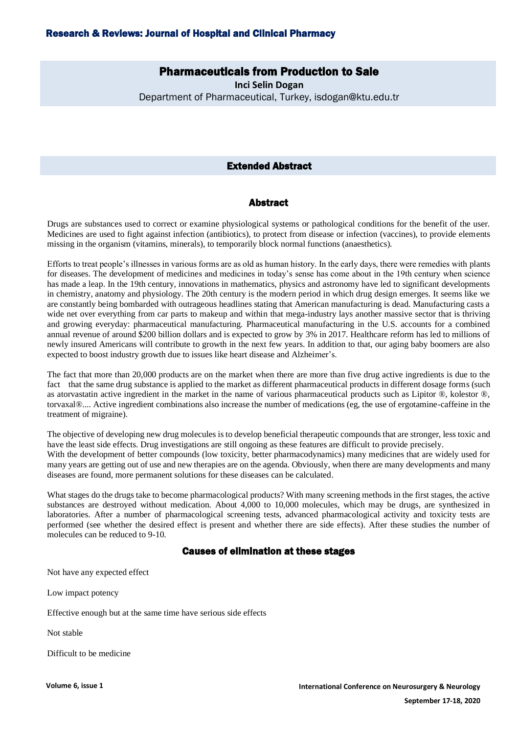# Pharmaceuticals from Production to Sale

**Inci Selin Dogan**  Department of Pharmaceutical, Turkey, isdogan@ktu.edu.tr

#### Extended Abstract

### Abstract

Drugs are substances used to correct or examine physiological systems or pathological conditions for the benefit of the user. Medicines are used to fight against infection (antibiotics), to protect from disease or infection (vaccines), to provide elements missing in the organism (vitamins, minerals), to temporarily block normal functions (anaesthetics).

Efforts to treat people's illnesses in various forms are as old as human history. In the early days, there were remedies with plants for diseases. The development of medicines and medicines in today's sense has come about in the 19th century when science has made a leap. In the 19th century, innovations in mathematics, physics and astronomy have led to significant developments in chemistry, anatomy and physiology. The 20th century is the modern period in which drug design emerges. It seems like we are constantly being bombarded with outrageous headlines stating that American manufacturing is dead. Manufacturing casts a wide net over everything from car parts to makeup and within that mega-industry lays another massive sector that is thriving and growing everyday: pharmaceutical manufacturing. Pharmaceutical manufacturing in the U.S. accounts for a combined annual revenue of around \$200 billion dollars and is expected to grow by 3% in 2017. Healthcare reform has led to millions of newly insured Americans will contribute to growth in the next few years. In addition to that, our aging baby boomers are also expected to boost industry growth due to issues like heart disease and Alzheimer's.

The fact that more than 20,000 products are on the market when there are more than five drug active ingredients is due to the fact that the same drug substance is applied to the market as different pharmaceutical products in different dosage forms (such as atorvastatin active ingredient in the market in the name of various pharmaceutical products such as Lipitor ®, kolestor ®, torvaxal®.... Active ingredient combinations also increase the number of medications (eg, the use of ergotamine-caffeine in the treatment of migraine).

The objective of developing new drug molecules is to develop beneficial therapeutic compounds that are stronger, less toxic and have the least side effects. Drug investigations are still ongoing as these features are difficult to provide precisely. With the development of better compounds (low toxicity, better pharmacodynamics) many medicines that are widely used for many years are getting out of use and new therapies are on the agenda. Obviously, when there are many developments and many diseases are found, more permanent solutions for these diseases can be calculated.

What stages do the drugs take to become pharmacological products? With many screening methods in the first stages, the active substances are destroyed without medication. About 4,000 to 10,000 molecules, which may be drugs, are synthesized in laboratories. After a number of pharmacological screening tests, advanced pharmacological activity and toxicity tests are performed (see whether the desired effect is present and whether there are side effects). After these studies the number of molecules can be reduced to 9-10.

## Causes of elimination at these stages

Not have any expected effect

Low impact potency

Effective enough but at the same time have serious side effects

Not stable

Difficult to be medicine